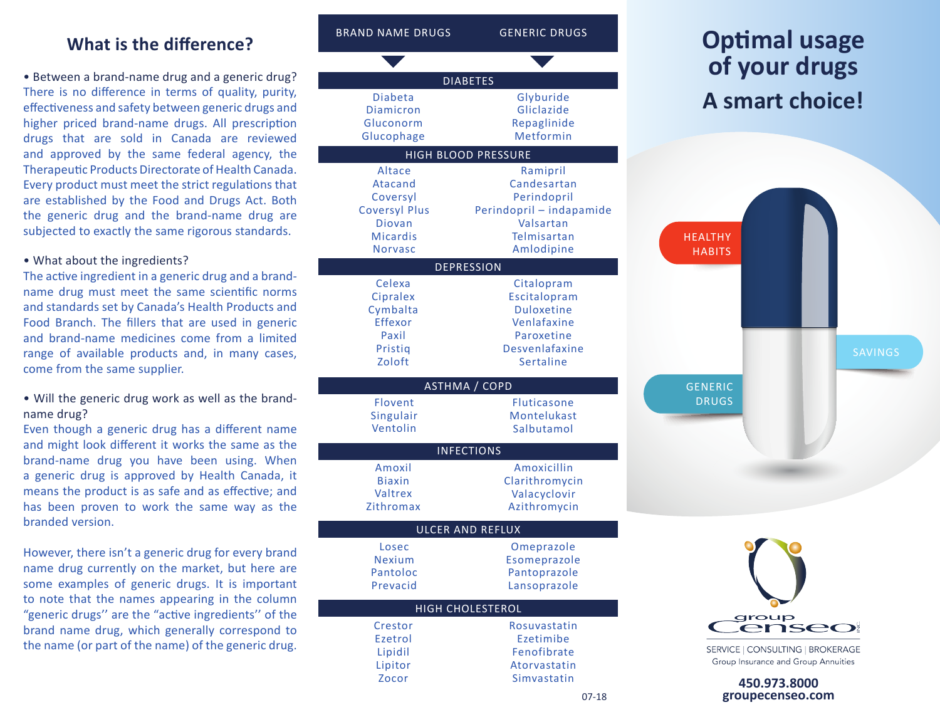## **What is the difference?**

• Between a brand-name drug and a generic drug? There is no difference in terms of quality, purity, effectiveness and safety between generic drugs and higher priced brand-name drugs. All prescription drugs that are sold in Canada are reviewed and approved by the same federal agency, the Therapeutic Products Directorate of Health Canada. Every product must meet the strict regulations that are established by the Food and Drugs Act. Both the generic drug and the brand-name drug are subjected to exactly the same rigorous standards.

#### • What about the ingredients?

The active ingredient in a generic drug and a brandname drug must meet the same scientific norms and standards set by Canada's Health Products and Food Branch. The fillers that are used in generic and brand-name medicines come from a limited range of available products and, in many cases, come from the same supplier.

• Will the generic drug work as well as the brandname drug?

Even though a generic drug has a different name and might look different it works the same as the brand-name drug you have been using. When a generic drug is approved by Health Canada, it means the product is as safe and as effective; and has been proven to work the same way as the branded version.

However, there isn't a generic drug for every brand name drug currently on the market, but here are some examples of generic drugs. It is important to note that the names appearing in the column "generic drugs'' are the "active ingredients'' of the brand name drug, which generally correspond to the name (or part of the name) of the generic drug.



enseo

SAVINGS